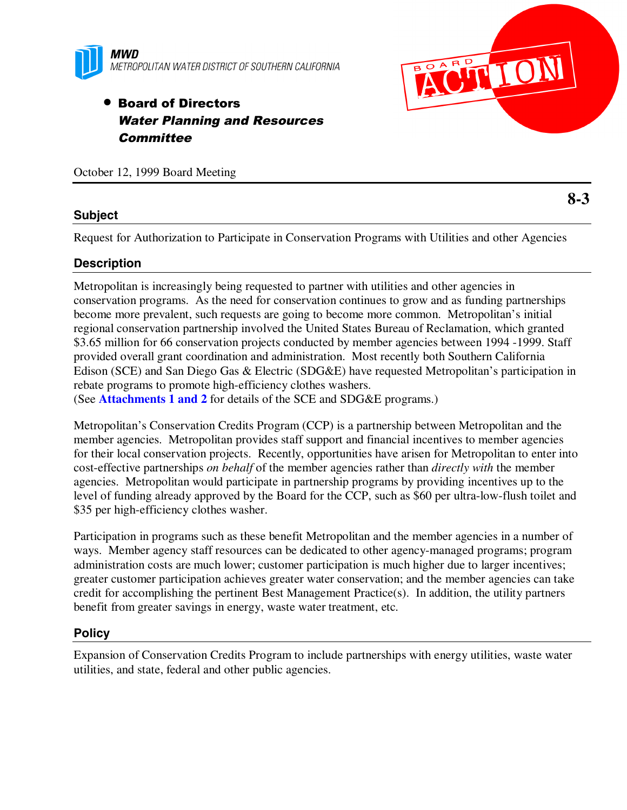

# • Board of Directors Water Planning and Resources **Committee**

October 12, 1999 Board Meeting

#### **Subject**

Request for Authorization to Participate in Conservation Programs with Utilities and other Agencies

# **Description**

Metropolitan is increasingly being requested to partner with utilities and other agencies in conservation programs. As the need for conservation continues to grow and as funding partnerships become more prevalent, such requests are going to become more common. Metropolitan's initial regional conservation partnership involved the United States Bureau of Reclamation, which granted \$3.65 million for 66 conservation projects conducted by member agencies between 1994 -1999. Staff provided overall grant coordination and administration. Most recently both Southern California Edison (SCE) and San Diego Gas & Electric (SDG&E) have requested Metropolitan's participation in rebate programs to promote high-efficiency clothes washers. (See **Attachments 1 and 2** for details of the SCE and SDG&E programs.)

Metropolitan's Conservation Credits Program (CCP) is a partnership between Metropolitan and the member agencies. Metropolitan provides staff support and financial incentives to member agencies for their local conservation projects. Recently, opportunities have arisen for Metropolitan to enter into cost-effective partnerships *on behalf* of the member agencies rather than *directly with* the member agencies. Metropolitan would participate in partnership programs by providing incentives up to the level of funding already approved by the Board for the CCP, such as \$60 per ultra-low-flush toilet and \$35 per high-efficiency clothes washer.

Participation in programs such as these benefit Metropolitan and the member agencies in a number of ways. Member agency staff resources can be dedicated to other agency-managed programs; program administration costs are much lower; customer participation is much higher due to larger incentives; greater customer participation achieves greater water conservation; and the member agencies can take credit for accomplishing the pertinent Best Management Practice(s). In addition, the utility partners benefit from greater savings in energy, waste water treatment, etc.

# **Policy**

Expansion of Conservation Credits Program to include partnerships with energy utilities, waste water utilities, and state, federal and other public agencies.

**8-3**

**ÖTIC**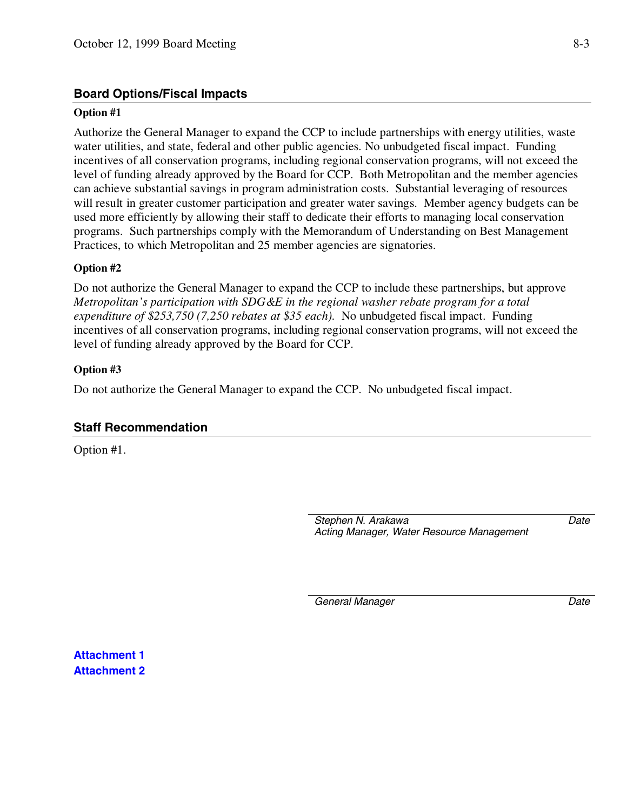# **Board Options/Fiscal Impacts**

#### **Option #1**

Authorize the General Manager to expand the CCP to include partnerships with energy utilities, waste water utilities, and state, federal and other public agencies. No unbudgeted fiscal impact. Funding incentives of all conservation programs, including regional conservation programs, will not exceed the level of funding already approved by the Board for CCP. Both Metropolitan and the member agencies can achieve substantial savings in program administration costs. Substantial leveraging of resources will result in greater customer participation and greater water savings. Member agency budgets can be used more efficiently by allowing their staff to dedicate their efforts to managing local conservation programs. Such partnerships comply with the Memorandum of Understanding on Best Management Practices, to which Metropolitan and 25 member agencies are signatories.

#### **Option #2**

Do not authorize the General Manager to expand the CCP to include these partnerships, but approve *Metropolitan's participation with SDG&E in the regional washer rebate program for a total expenditure of \$253,750 (7,250 rebates at \$35 each).* No unbudgeted fiscal impact. Funding incentives of all conservation programs, including regional conservation programs, will not exceed the level of funding already approved by the Board for CCP.

#### **Option #3**

Do not authorize the General Manager to expand the CCP. No unbudgeted fiscal impact.

# **Staff Recommendation**

Option #1.

*Stephen N. Arakawa Acting Manager, Water Resource Management* *Date*

*General Manager Date*

**Attachment 1 Attachment 2**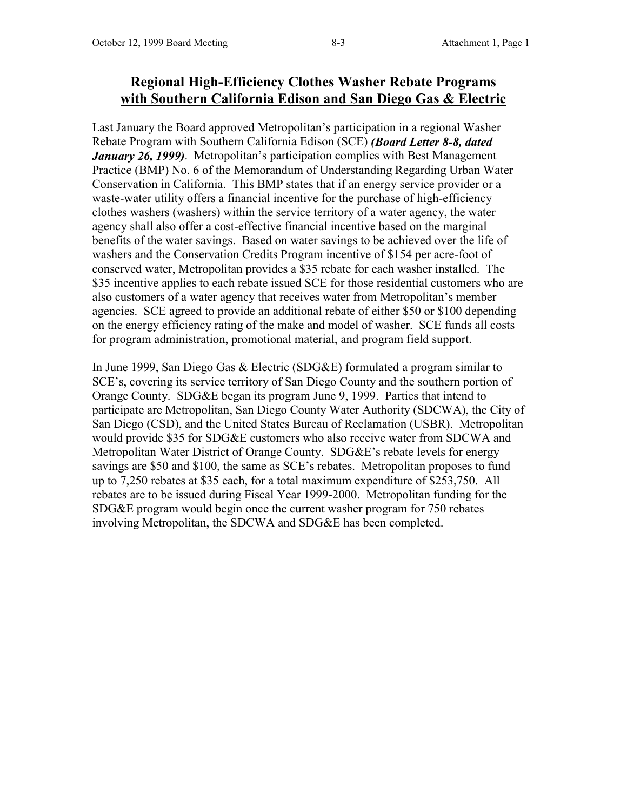# **Regional High-Efficiency Clothes Washer Rebate Programs with Southern California Edison and San Diego Gas & Electric**

Last January the Board approved Metropolitan's participation in a regional Washer Rebate Program with Southern California Edison (SCE) *(Board Letter 8-8, dated January 26, 1999)*. Metropolitan's participation complies with Best Management Practice (BMP) No. 6 of the Memorandum of Understanding Regarding Urban Water Conservation in California. This BMP states that if an energy service provider or a waste-water utility offers a financial incentive for the purchase of high-efficiency clothes washers (washers) within the service territory of a water agency, the water agency shall also offer a cost-effective financial incentive based on the marginal benefits of the water savings. Based on water savings to be achieved over the life of washers and the Conservation Credits Program incentive of \$154 per acre-foot of conserved water, Metropolitan provides a \$35 rebate for each washer installed. The \$35 incentive applies to each rebate issued SCE for those residential customers who are also customers of a water agency that receives water from Metropolitan's member agencies. SCE agreed to provide an additional rebate of either \$50 or \$100 depending on the energy efficiency rating of the make and model of washer. SCE funds all costs for program administration, promotional material, and program field support.

In June 1999, San Diego Gas & Electric (SDG&E) formulated a program similar to SCE's, covering its service territory of San Diego County and the southern portion of Orange County. SDG&E began its program June 9, 1999. Parties that intend to participate are Metropolitan, San Diego County Water Authority (SDCWA), the City of San Diego (CSD), and the United States Bureau of Reclamation (USBR). Metropolitan would provide \$35 for SDG&E customers who also receive water from SDCWA and Metropolitan Water District of Orange County. SDG&E's rebate levels for energy savings are \$50 and \$100, the same as SCE's rebates. Metropolitan proposes to fund up to 7,250 rebates at \$35 each, for a total maximum expenditure of \$253,750. All rebates are to be issued during Fiscal Year 1999-2000. Metropolitan funding for the SDG&E program would begin once the current washer program for 750 rebates involving Metropolitan, the SDCWA and SDG&E has been completed.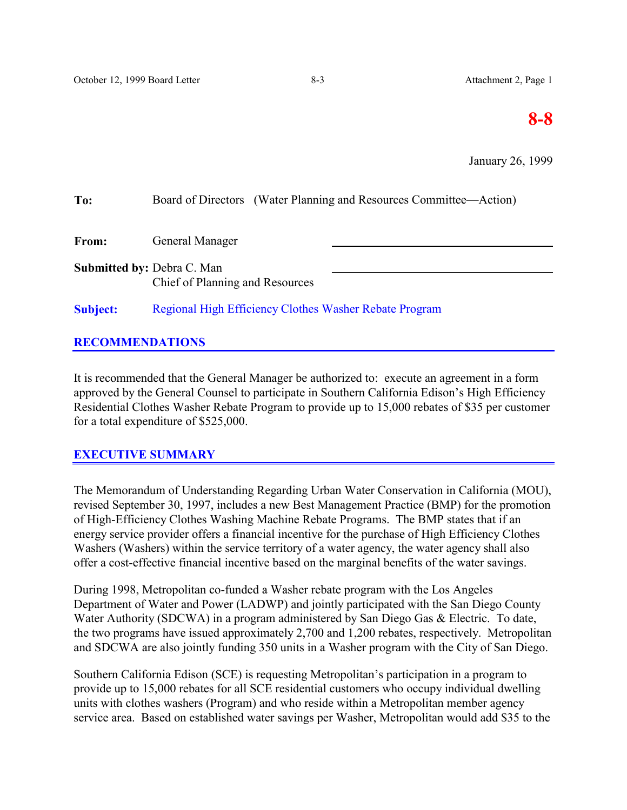# **8-8**

January 26, 1999

| To:                               | Board of Directors (Water Planning and Resources Committee—Action) |  |
|-----------------------------------|--------------------------------------------------------------------|--|
| From:                             | General Manager                                                    |  |
| <b>Submitted by: Debra C. Man</b> | Chief of Planning and Resources                                    |  |
| <b>Subject:</b>                   | Regional High Efficiency Clothes Washer Rebate Program             |  |

# **RECOMMENDATIONS**

It is recommended that the General Manager be authorized to: execute an agreement in a form approved by the General Counsel to participate in Southern California Edison's High Efficiency Residential Clothes Washer Rebate Program to provide up to 15,000 rebates of \$35 per customer for a total expenditure of \$525,000.

# **EXECUTIVE SUMMARY**

The Memorandum of Understanding Regarding Urban Water Conservation in California (MOU), revised September 30, 1997, includes a new Best Management Practice (BMP) for the promotion of High-Efficiency Clothes Washing Machine Rebate Programs. The BMP states that if an energy service provider offers a financial incentive for the purchase of High Efficiency Clothes Washers (Washers) within the service territory of a water agency, the water agency shall also offer a cost-effective financial incentive based on the marginal benefits of the water savings.

During 1998, Metropolitan co-funded a Washer rebate program with the Los Angeles Department of Water and Power (LADWP) and jointly participated with the San Diego County Water Authority (SDCWA) in a program administered by San Diego Gas & Electric. To date, the two programs have issued approximately 2,700 and 1,200 rebates, respectively. Metropolitan and SDCWA are also jointly funding 350 units in a Washer program with the City of San Diego.

Southern California Edison (SCE) is requesting Metropolitan's participation in a program to provide up to 15,000 rebates for all SCE residential customers who occupy individual dwelling units with clothes washers (Program) and who reside within a Metropolitan member agency service area. Based on established water savings per Washer, Metropolitan would add \$35 to the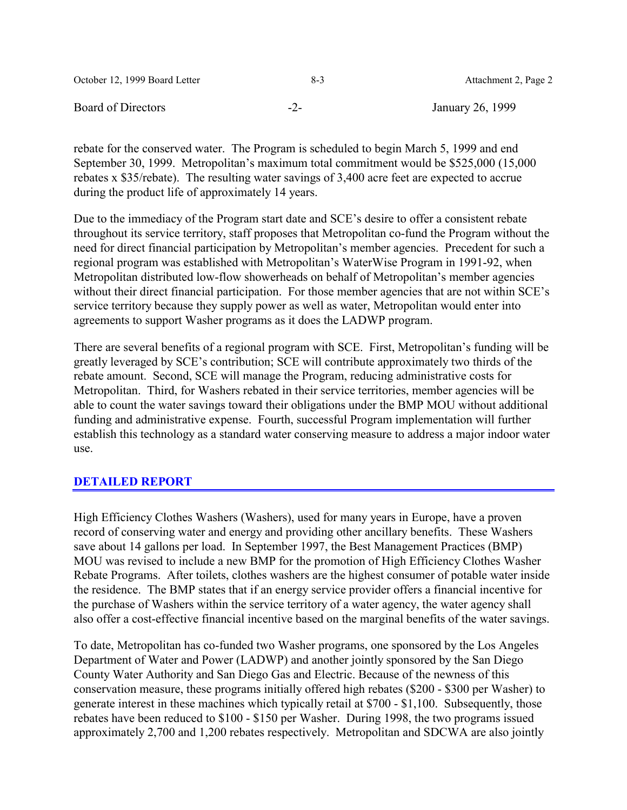| October 12, 1999 Board Letter | $8-3$ | Attachment 2, Page 2 |
|-------------------------------|-------|----------------------|
| Board of Directors            |       | January 26, 1999     |

rebate for the conserved water. The Program is scheduled to begin March 5, 1999 and end September 30, 1999. Metropolitan's maximum total commitment would be \$525,000 (15,000 rebates x \$35/rebate). The resulting water savings of 3,400 acre feet are expected to accrue during the product life of approximately 14 years.

Due to the immediacy of the Program start date and SCE's desire to offer a consistent rebate throughout its service territory, staff proposes that Metropolitan co-fund the Program without the need for direct financial participation by Metropolitan's member agencies. Precedent for such a regional program was established with Metropolitan's WaterWise Program in 1991-92, when Metropolitan distributed low-flow showerheads on behalf of Metropolitan's member agencies without their direct financial participation. For those member agencies that are not within SCE's service territory because they supply power as well as water, Metropolitan would enter into agreements to support Washer programs as it does the LADWP program.

There are several benefits of a regional program with SCE. First, Metropolitan's funding will be greatly leveraged by SCE's contribution; SCE will contribute approximately two thirds of the rebate amount. Second, SCE will manage the Program, reducing administrative costs for Metropolitan. Third, for Washers rebated in their service territories, member agencies will be able to count the water savings toward their obligations under the BMP MOU without additional funding and administrative expense. Fourth, successful Program implementation will further establish this technology as a standard water conserving measure to address a major indoor water use.

# **DETAILED REPORT**

High Efficiency Clothes Washers (Washers), used for many years in Europe, have a proven record of conserving water and energy and providing other ancillary benefits. These Washers save about 14 gallons per load. In September 1997, the Best Management Practices (BMP) MOU was revised to include a new BMP for the promotion of High Efficiency Clothes Washer Rebate Programs. After toilets, clothes washers are the highest consumer of potable water inside the residence. The BMP states that if an energy service provider offers a financial incentive for the purchase of Washers within the service territory of a water agency, the water agency shall also offer a cost-effective financial incentive based on the marginal benefits of the water savings.

To date, Metropolitan has co-funded two Washer programs, one sponsored by the Los Angeles Department of Water and Power (LADWP) and another jointly sponsored by the San Diego County Water Authority and San Diego Gas and Electric. Because of the newness of this conservation measure, these programs initially offered high rebates (\$200 - \$300 per Washer) to generate interest in these machines which typically retail at \$700 - \$1,100. Subsequently, those rebates have been reduced to \$100 - \$150 per Washer. During 1998, the two programs issued approximately 2,700 and 1,200 rebates respectively. Metropolitan and SDCWA are also jointly